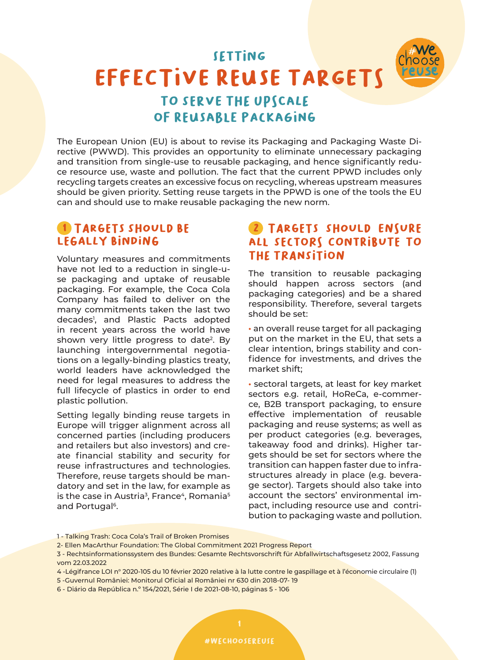# effective reuse targets **SETTING** TO SERVE THE UPSCALE of reusable packaging

The European Union (EU) is about to revise its Packaging and Packaging Waste Directive (PWWD). This provides an opportunity to eliminate unnecessary packaging and transition from single-use to reusable packaging, and hence significantly reduce resource use, waste and pollution. The fact that the current PPWD includes only recycling targets creates an excessive focus on recycling, whereas upstream measures should be given priority. Setting reuse targets in the PPWD is one of the tools the EU can and should use to make reusable packaging the new norm.

### **1 TARGETS SHOULD BE** LFGALLY BINDING

Voluntary measures and commitments have not led to a reduction in single-use packaging and uptake of reusable packaging. For example, the Coca Cola Company has failed to deliver on the many commitments taken the last two decades1 , and Plastic Pacts adopted in recent years across the world have shown very little progress to date<sup>2</sup>. By launching intergovernmental negotiations on a legally-binding plastics treaty, world leaders have acknowledged the need for legal measures to address the full lifecycle of plastics in order to end plastic pollution.

Setting legally binding reuse targets in Europe will trigger alignment across all concerned parties (including producers and retailers but also investors) and create financial stability and security for reuse infrastructures and technologies. Therefore, reuse targets should be mandatory and set in the law, for example as is the case in Austria<sup>3</sup>, France<sup>4</sup>, Romania<sup>5</sup> and Portugal<sup>6</sup>.

## **(2) TARGETS SHOULD ENSURE** all sectors contribute to the transition

The transition to reusable packaging should happen across sectors (and packaging categories) and be a shared responsibility. Therefore, several targets should be set:

**·** an overall reuse target for all packaging put on the market in the EU, that sets a clear intention, brings stability and confidence for investments, and drives the market shift;

**·** sectoral targets, at least for key market sectors e.g. retail, HoReCa, e-commerce, B2B transport packaging, to ensure effective implementation of reusable packaging and reuse systems; as well as per product categories (e.g. beverages, takeaway food and drinks). Higher targets should be set for sectors where the transition can happen faster due to infrastructures already in place (e.g. beverage sector). Targets should also take into account the sectors' environmental impact, including resource use and contribution to packaging waste and pollution.

6 - Diário da República n.º 154/2021, Série I de 2021-08-10, páginas 5 - 106

<sup>1 -</sup> Talking Trash: Coca Cola's Trail of Broken Promises

<sup>2-</sup> Ellen MacArthur Foundation: The Global Commitment 2021 Progress Report

<sup>3 -</sup> Rechtsinformationssystem des Bundes: Gesamte Rechtsvorschrift für Abfallwirtschaftsgesetz 2002, Fassung vom 22.03.2022

<sup>4 -</sup>Légifrance LOI n° 2020-105 du 10 février 2020 relative à la lutte contre le gaspillage et à l'économie circulaire (1)

<sup>5 -</sup>Guvernul României: Monitorul Oficial al României nr 630 din 2018-07- 19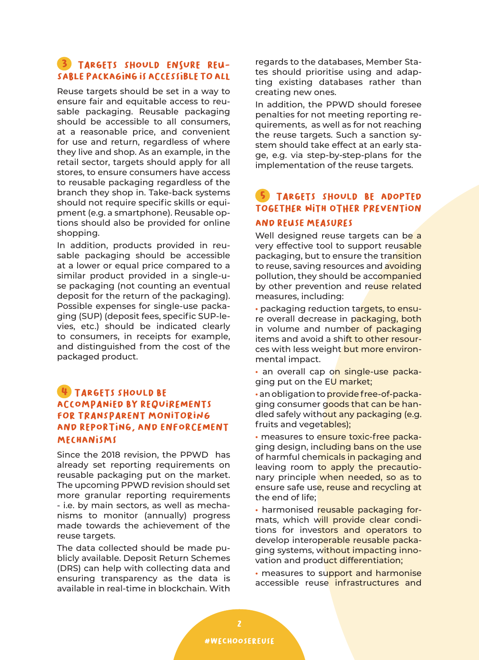### 3 TARGETS SHOULD ENSURE REUsable packaging is accessible to all

Reuse targets should be set in a way to ensure fair and equitable access to reusable packaging. Reusable packaging should be accessible to all consumers, at a reasonable price, and convenient for use and return, regardless of where they live and shop. As an example, in the retail sector, targets should apply for all stores, to ensure consumers have access to reusable packaging regardless of the branch they shop in. Take-back systems should not require specific skills or equipment (e.g. a smartphone). Reusable options should also be provided for online shopping.

In addition, products provided in reusable packaging should be accessible at a lower or equal price compared to a similar product provided in a single-use packaging (not counting an eventual deposit for the return of the packaging). Possible expenses for single-use packaging (SUP) (deposit fees, specific SUP-levies, etc.) should be indicated clearly to consumers, in receipts for example, and distinguished from the cost of the packaged product.

### TARGETS SHOULD BE accompanied by requirements for transparent monitoring and reporting, and enforcement mechanisms

Since the 2018 revision, the PPWD has already set reporting requirements on reusable packaging put on the market. The upcoming PPWD revision should set more granular reporting requirements - i.e. by main sectors, as well as mechanisms to monitor (annually) progress made towards the achievement of the reuse targets.

The data collected should be made publicly available. Deposit Return Schemes (DRS) can help with collecting data and ensuring transparency as the data is available in real-time in blockchain. With regards to the databases, Member States should prioritise using and adapting existing databases rather than creating new ones.

In addition, the PPWD should foresee penalties for not meeting reporting requirements, as well as for not reaching the reuse targets. Such a sanction system should take effect at an early stage, e.g. via step-by-step-plans for the implementation of the reuse targets.

### TARGETS SHOULD BE ADOPTED together with other prevention and reuse measures

Well designed reuse targets can be a very effective tool to support reusable packaging, but to ensure the transition to reuse, saving resources and avoiding pollution, they should be accompanied by other prevention and reuse related measures, including:

**·** packaging reduction targets, to ensure overall decrease in packaging, both in volume and number of packaging items and avoid a shift to other resources with less weight but more environmental impact.

**·** an overall cap on single-use packaging put on the EU market;

**·** an obligation to provide free-of-packaging consumer goods that can be handled safely without any packaging (e.g. fruits and vegetables);

**·** measures to ensure toxic-free packaging design, including bans on the use of harmful chemicals in packaging and leaving room to apply the precautionary principle when needed, so as to ensure safe use, reuse and recycling at the end of life;

**·** harmonised reusable packaging formats, which will provide clear conditions for investors and operators to develop interoperable reusable packaging systems, without impacting innovation and product differentiation;

**·** measures to support and harmonise accessible reuse infrastructures and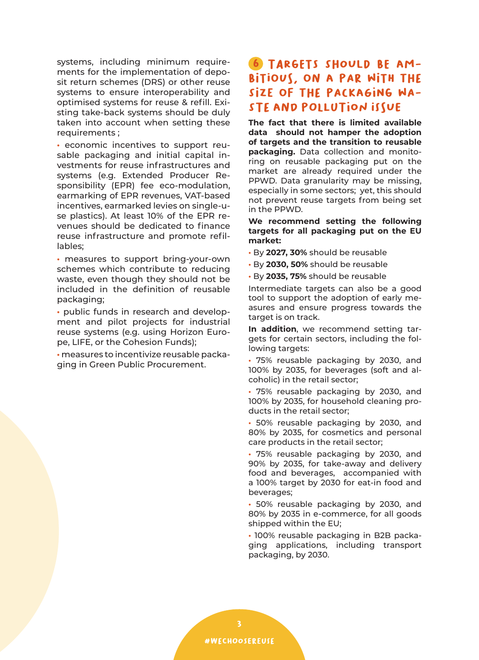systems, including minimum requirements for the implementation of deposit return schemes (DRS) or other reuse systems to ensure interoperability and optimised systems for reuse & refill. Existing take-back systems should be duly taken into account when setting these requirements ;

**·** economic incentives to support reusable packaging and initial capital investments for reuse infrastructures and systems (e.g. Extended Producer Responsibility (EPR) fee eco-modulation, earmarking of EPR revenues, VAT-based incentives, earmarked levies on single-use plastics). At least 10% of the EPR revenues should be dedicated to finance reuse infrastructure and promote refillables;

**·** measures to support bring-your-own schemes which contribute to reducing waste, even though they should not be included in the definition of reusable packaging;

**·** public funds in research and development and pilot projects for industrial reuse systems (e.g. using Horizon Europe, LIFE, or the Cohesion Funds);

**·** measures to incentivize reusable packaging in Green Public Procurement.

# 6 Targets should be am-BITIOUS, ON A PAR WITH THE size of the packaging waste and pollution issue

**The fact that there is limited available data should not hamper the adoption of targets and the transition to reusable packaging.** Data collection and monitoring on reusable packaging put on the market are already required under the PPWD. Data granularity may be missing, especially in some sectors; yet, this should not prevent reuse targets from being set in the PPWD.

#### **We recommend setting the following targets for all packaging put on the EU market:**

- **·** By **2027, 30%** should be reusable
- **·** By **2030, 50%** should be reusable
- **·** By **2035, 75%** should be reusable

Intermediate targets can also be a good tool to support the adoption of early measures and ensure progress towards the target is on track.

**In addition**, we recommend setting targets for certain sectors, including the following targets:

**·** 75% reusable packaging by 2030, and 100% by 2035, for beverages (soft and alcoholic) in the retail sector;

**·** 75% reusable packaging by 2030, and 100% by 2035, for household cleaning products in the retail sector;

**·** 50% reusable packaging by 2030, and 80% by 2035, for cosmetics and personal care products in the retail sector;

**·** 75% reusable packaging by 2030, and 90% by 2035, for take-away and delivery food and beverages, accompanied with a 100% target by 2030 for eat-in food and beverages;

**·** 50% reusable packaging by 2030, and 80% by 2035 in e-commerce, for all goods shipped within the EU;

**·** 100% reusable packaging in B2B packaging applications, including transport packaging, by 2030.